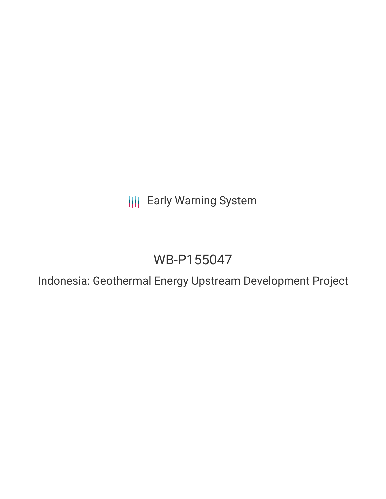**III** Early Warning System

# WB-P155047

Indonesia: Geothermal Energy Upstream Development Project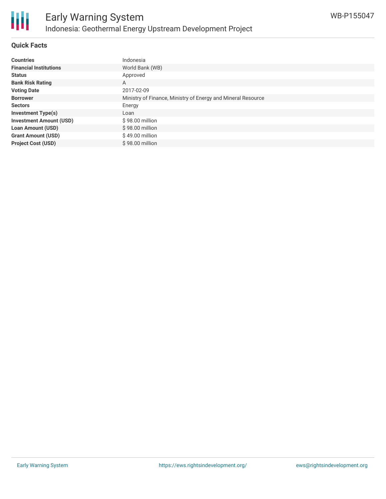

# **Quick Facts**

| <b>Countries</b>               | Indonesia                                                    |
|--------------------------------|--------------------------------------------------------------|
|                                |                                                              |
| <b>Financial Institutions</b>  | World Bank (WB)                                              |
| <b>Status</b>                  | Approved                                                     |
| <b>Bank Risk Rating</b>        | A                                                            |
| <b>Voting Date</b>             | 2017-02-09                                                   |
| <b>Borrower</b>                | Ministry of Finance, Ministry of Energy and Mineral Resource |
| <b>Sectors</b>                 | Energy                                                       |
| <b>Investment Type(s)</b>      | Loan                                                         |
| <b>Investment Amount (USD)</b> | $$98.00$ million                                             |
| <b>Loan Amount (USD)</b>       | \$98.00 million                                              |
| <b>Grant Amount (USD)</b>      | \$49.00 million                                              |
| <b>Project Cost (USD)</b>      | $$98.00$ million                                             |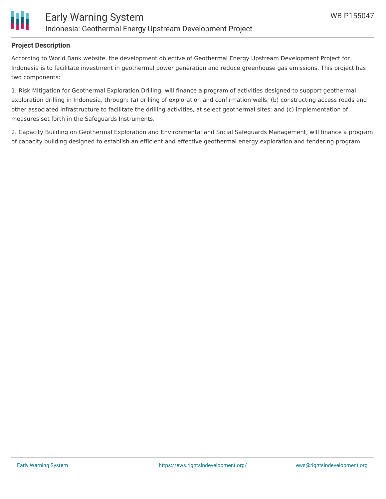

# **Project Description**

According to World Bank website, the development objective of Geothermal Energy Upstream Development Project for Indonesia is to facilitate investment in geothermal power generation and reduce greenhouse gas emissions. This project has two components:

1. Risk Mitigation for Geothermal Exploration Drilling, will finance a program of activities designed to support geothermal exploration drilling in Indonesia, through: (a) drilling of exploration and confirmation wells; (b) constructing access roads and other associated infrastructure to facilitate the drilling activities, at select geothermal sites; and (c) implementation of measures set forth in the Safeguards Instruments.

2. Capacity Building on Geothermal Exploration and Environmental and Social Safeguards Management, will finance a program of capacity building designed to establish an efficient and effective geothermal energy exploration and tendering program.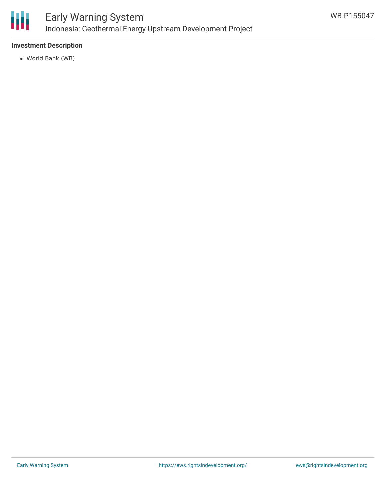

### **Investment Description**

World Bank (WB)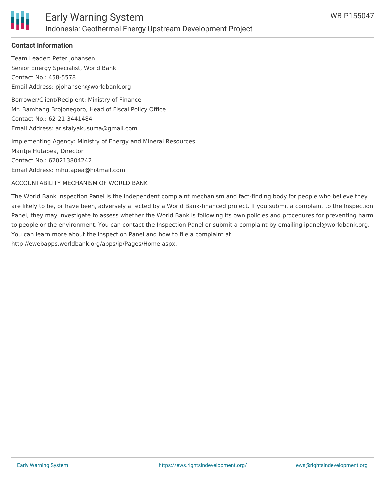

# **Contact Information**

Team Leader: Peter Johansen Senior Energy Specialist, World Bank Contact No.: 458-5578 Email Address: pjohansen@worldbank.org

Borrower/Client/Recipient: Ministry of Finance Mr. Bambang Brojonegoro, Head of Fiscal Policy Office Contact No.: 62-21-3441484 Email Address: aristalyakusuma@gmail.com

Implementing Agency: Ministry of Energy and Mineral Resources Maritje Hutapea, Director Contact No.: 620213804242 Email Address: mhutapea@hotmail.com

ACCOUNTABILITY MECHANISM OF WORLD BANK

The World Bank Inspection Panel is the independent complaint mechanism and fact-finding body for people who believe they are likely to be, or have been, adversely affected by a World Bank-financed project. If you submit a complaint to the Inspection Panel, they may investigate to assess whether the World Bank is following its own policies and procedures for preventing harm to people or the environment. You can contact the Inspection Panel or submit a complaint by emailing ipanel@worldbank.org. You can learn more about the Inspection Panel and how to file a complaint at: http://ewebapps.worldbank.org/apps/ip/Pages/Home.aspx.